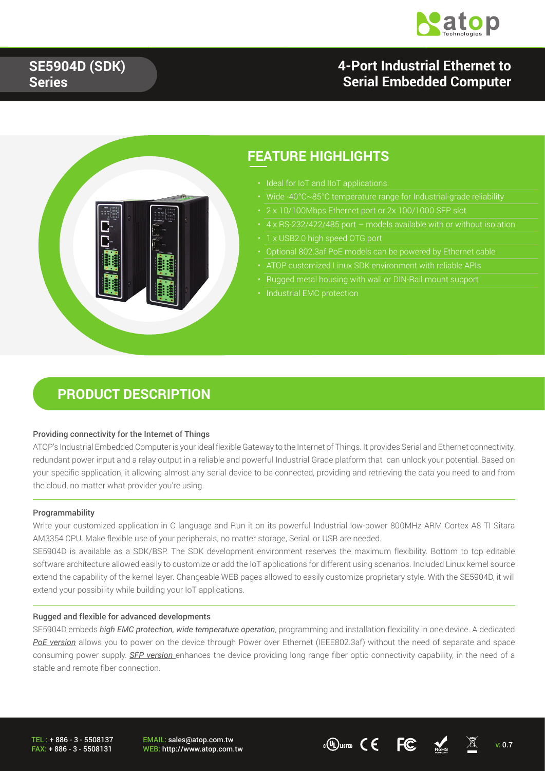

### **4-Port Industrial Ethernet to Serial Embedded Computer**



### **FEATURE HIGHLIGHTS**

- Ideal for IoT and IIoT applications.
- 
- 2 x 10/100Mbps Ethernet port or 2x 100/1000 SFP slot
	-
- 1 x USB2.0 high speed OTG port
- Optional 802.3af PoE models can be powered by Ethernet cable
- 
- Rugged metal housing with wall or DIN-Rail mount support
- **Industrial EMC protection**

### **PRODUCT DESCRIPTION**

#### Providing connectivity for the Internet of Things

ATOP's Industrial Embedded Computer is your ideal flexible Gateway to the Internet of Things. It provides Serial and Ethernet connectivity, redundant power input and a relay output in a reliable and powerful Industrial Grade platform that can unlock your potential. Based on your specific application, it allowing almost any serial device to be connected, providing and retrieving the data you need to and from the cloud, no matter what provider you're using.

#### Programmability

Write your customized application in C language and Run it on its powerful Industrial low-power 800MHz ARM Cortex A8 TI Sitara AM3354 CPU. Make flexible use of your peripherals, no matter storage, Serial, or USB are needed.

SE5904D is available as a SDK/BSP. The SDK development environment reserves the maximum flexibility. Bottom to top editable software architecture allowed easily to customize or add the IoT applications for different using scenarios. Included Linux kernel source extend the capability of the kernel layer. Changeable WEB pages allowed to easily customize proprietary style. With the SE5904D, it will extend your possibility while building your IoT applications.

#### Rugged and flexible for advanced developments

SE5904D embeds *high EMC protection, wide temperature operation*, programming and installation flexibility in one device. A dedicated *PoE version* allows you to power on the device through Power over Ethernet (IEEE802.3af) without the need of separate and space consuming power supply. *SFP version* enhances the device providing long range fiber optic connectivity capability, in the need of a stable and remote fiber connection.

TEL : + 886 - 3 - 5508137 FAX: + 886 - 3 - 5508131 EMAIL: sales@atop.com.tw

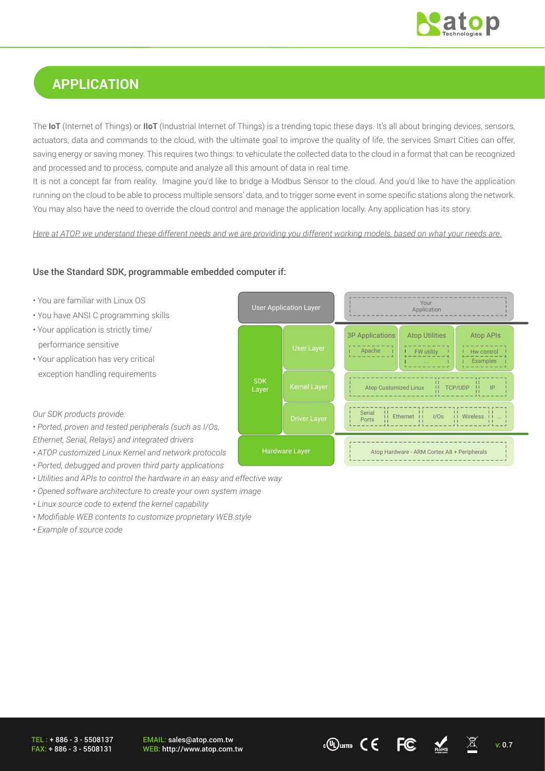

# **APPLICATION**

The **IoT** (Internet of Things) or **IIoT** (Industrial Internet of Things) is a trending topic these days. It's all about bringing devices, sensors, actuators, data and commands to the cloud, with the ultimate goal to improve the quality of life, the services Smart Cities can offer, saving energy or saving money. This requires two things: to vehiculate the collected data to the cloud in a format that can be recognized and processed and to process, compute and analyze all this amount of data in real time.

It is not a concept far from reality. Imagine you'd like to bridge a Modbus Sensor to the cloud. And you'd like to have the application running on the cloud to be able to process multiple sensors' data, and to trigger some event in some specific stations along the network. You may also have the need to override the cloud control and manage the application locally. Any application has its story.

*Here at ATOP, we understand these different needs and we are providing you different working models, based on what your needs are.*

#### Use the Standard SDK, programmable embedded computer if:



- *Ported, debugged and proven third party applications*
- *Utilities and APIs to control the hardware in an easy and effective way*
- *Opened software architecture to create your own system image*
- *Linux source code to extend the kernel capability*
- *Modifiable WEB contents to customize proprietary WEB style*
- *Example of source code*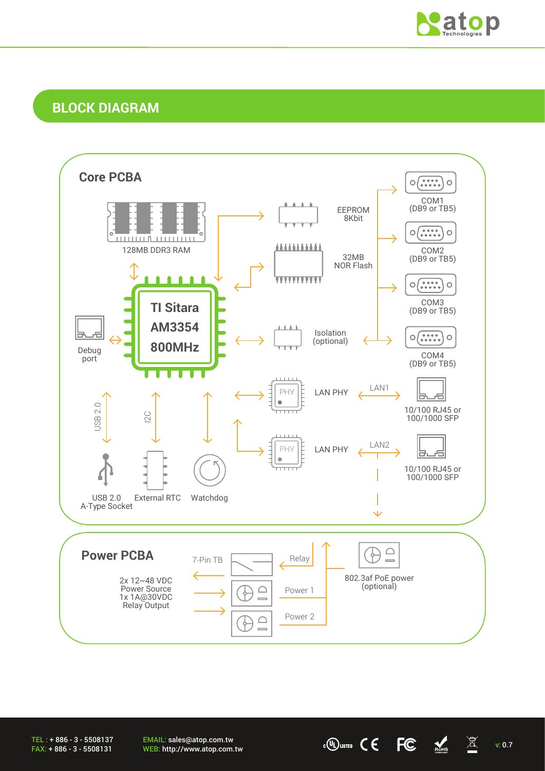

### **BLOCK DIAGRAM**



TEL : + 886 - 3 - 5508137 FAX: + 886 - 3 - 5508131

EMAIL: sales@atop.com.tw EMAIL: sales@atop.com.tw  $\overline{v}$   $\overline{w}$   $\overline{w}$   $\overline{w}$   $\overline{w}$   $\overline{w}$   $\overline{w}$   $\overline{w}$   $\overline{w}$   $\overline{w}$   $\overline{w}$   $\overline{w}$   $\overline{w}$   $\overline{w}$   $\overline{w}$   $\overline{w}$   $\overline{w}$   $\overline{w}$   $\overline{w}$   $\overline{w}$   $\overline{w}$   $\overline{w}$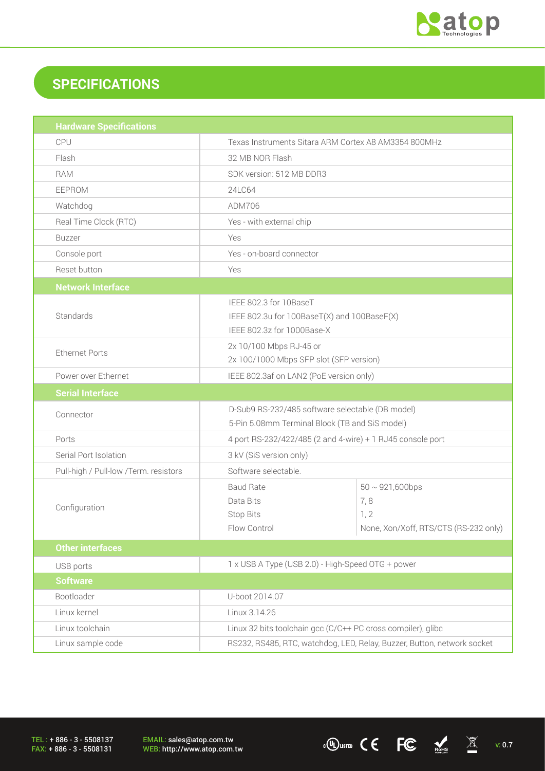

# **SPECIFICATIONS**

| <b>Hardware Specifications</b>        |                                                                                                     |                                                                              |  |
|---------------------------------------|-----------------------------------------------------------------------------------------------------|------------------------------------------------------------------------------|--|
| CPU                                   | Texas Instruments Sitara ARM Cortex A8 AM3354 800MHz                                                |                                                                              |  |
| Flash                                 | 32 MB NOR Flash                                                                                     |                                                                              |  |
| <b>RAM</b>                            | SDK version: 512 MB DDR3                                                                            |                                                                              |  |
| EEPROM                                | 24LC64                                                                                              |                                                                              |  |
| Watchdog                              | ADM706                                                                                              |                                                                              |  |
| Real Time Clock (RTC)                 | Yes - with external chip                                                                            |                                                                              |  |
| <b>Buzzer</b>                         | <b>Yes</b>                                                                                          |                                                                              |  |
| Console port                          | Yes - on-board connector                                                                            |                                                                              |  |
| Reset button                          | Yes                                                                                                 |                                                                              |  |
| <b>Network Interface</b>              |                                                                                                     |                                                                              |  |
| Standards                             | IEEE 802.3 for 10BaseT<br>IEEE 802.3u for 100BaseT(X) and 100BaseF(X)<br>IEEE 802.3z for 1000Base-X |                                                                              |  |
| <b>Ethernet Ports</b>                 | 2x 10/100 Mbps RJ-45 or<br>2x 100/1000 Mbps SFP slot (SFP version)                                  |                                                                              |  |
| Power over Ethernet                   | IEEE 802.3af on LAN2 (PoE version only)                                                             |                                                                              |  |
| <b>Serial Interface</b>               |                                                                                                     |                                                                              |  |
| Connector                             | D-Sub9 RS-232/485 software selectable (DB model)<br>5-Pin 5.08mm Terminal Block (TB and SiS model)  |                                                                              |  |
| Ports                                 | 4 port RS-232/422/485 (2 and 4-wire) + 1 RJ45 console port                                          |                                                                              |  |
| Serial Port Isolation                 | 3 kV (SiS version only)                                                                             |                                                                              |  |
| Pull-high / Pull-low /Term. resistors | Software selectable.                                                                                |                                                                              |  |
| Configuration                         | <b>Baud Rate</b><br>Data Bits<br>Stop Bits<br>Flow Control                                          | $50 \sim 921,600bps$<br>7,8<br>1, 2<br>None, Xon/Xoff, RTS/CTS (RS-232 only) |  |
| <b>Other interfaces</b>               |                                                                                                     |                                                                              |  |
| USB ports                             | 1 x USB A Type (USB 2.0) - High-Speed OTG + power                                                   |                                                                              |  |
| <b>Software</b>                       |                                                                                                     |                                                                              |  |
| Bootloader                            | U-boot 2014.07                                                                                      |                                                                              |  |
| Linux kernel                          | Linux 3.14.26                                                                                       |                                                                              |  |
| Linux toolchain                       | Linux 32 bits toolchain gcc (C/C++ PC cross compiler), glibc                                        |                                                                              |  |
| Linux sample code                     | RS232, RS485, RTC, watchdog, LED, Relay, Buzzer, Button, network socket                             |                                                                              |  |

TEL : + 886 - 3 - 5508137 FAX: + 886 - 3 - 5508131

EMAIL: sales@atop.com.tw<br>WEB: http://www.atop.com.tw

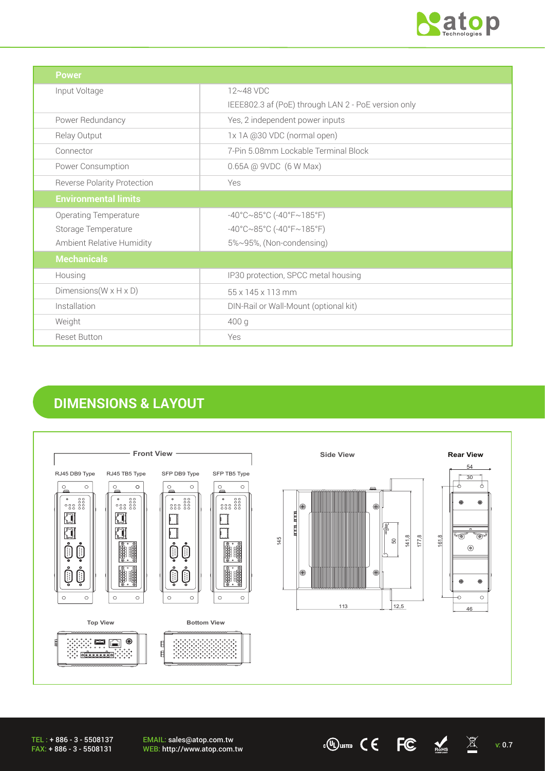

| <b>Power</b>                         |                                                     |
|--------------------------------------|-----------------------------------------------------|
| Input Voltage                        | $12~48$ VDC                                         |
|                                      | IEEE802.3 af (PoE) through LAN 2 - PoE version only |
| Power Redundancy                     | Yes, 2 independent power inputs                     |
| Relay Output                         | 1x 1A @30 VDC (normal open)                         |
| Connector                            | 7-Pin 5.08mm Lockable Terminal Block                |
| Power Consumption                    | 0.65A @ 9VDC (6 W Max)                              |
| Reverse Polarity Protection          | Yes                                                 |
| <b>Environmental limits</b>          |                                                     |
| <b>Operating Temperature</b>         | $-40^{\circ}$ C $\sim$ 85°C (-40°F $\sim$ 185°F)    |
| Storage Temperature                  | $-40^{\circ}$ C $\sim$ 85°C (-40°F $\sim$ 185°F)    |
| Ambient Relative Humidity            | 5%~95%, (Non-condensing)                            |
| <b>Mechanicals</b>                   |                                                     |
| Housing                              | IP30 protection, SPCC metal housing                 |
| Dimensions ( $W \times H \times D$ ) | 55 x 145 x 113 mm                                   |
| Installation                         | DIN-Rail or Wall-Mount (optional kit)               |
| Weight                               | 400 g                                               |
| <b>Reset Button</b>                  | Yes                                                 |

# **DIMENSIONS & LAYOUT**



EMAIL: sales@atop.com.tw EMAIL: sales@atop.com.tw  $\text{wEB: http://www.atop.com.tw}$  v: 0.7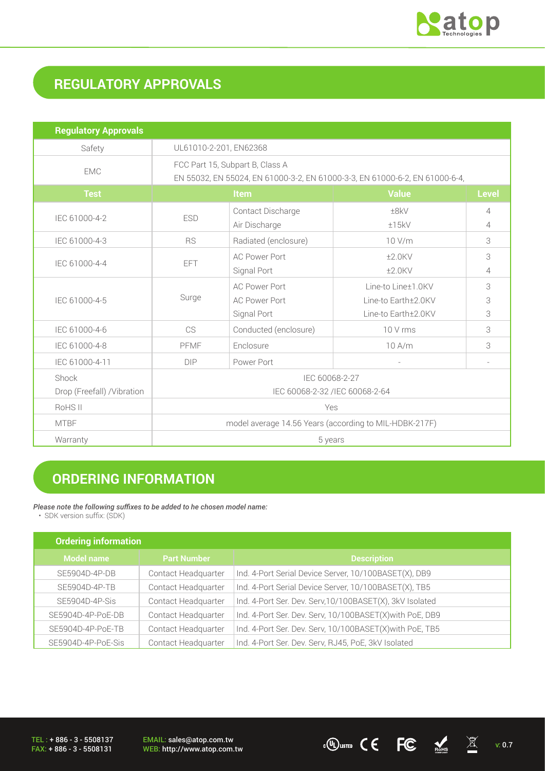

# **REGULATORY APPROVALS**

| <b>Regulatory Approvals</b>          |                                                                                                                |                                                             |                                                                  |              |
|--------------------------------------|----------------------------------------------------------------------------------------------------------------|-------------------------------------------------------------|------------------------------------------------------------------|--------------|
| Safety                               | UL61010-2-201, EN62368                                                                                         |                                                             |                                                                  |              |
| <b>EMC</b>                           | FCC Part 15, Subpart B, Class A<br>EN 55032, EN 55024, EN 61000-3-2, EN 61000-3-3, EN 61000-6-2, EN 61000-6-4, |                                                             |                                                                  |              |
| <b>Test</b>                          | <b>Item</b>                                                                                                    |                                                             | <b>Value</b>                                                     | <b>Level</b> |
| IEC 61000-4-2                        | <b>ESD</b>                                                                                                     | Contact Discharge<br>Air Discharge                          | ±8kV<br>±15kV                                                    | 4<br>4       |
| IEC 61000-4-3                        | <b>RS</b>                                                                                                      | Radiated (enclosure)                                        | 10 V/m                                                           | 3            |
| IEC 61000-4-4                        | EFT                                                                                                            | <b>AC Power Port</b><br>Signal Port                         | $±2.0$ KV<br>$±2.0$ KV                                           | 3<br>4       |
| IEC 61000-4-5                        | Surge                                                                                                          | <b>AC Power Port</b><br><b>AC Power Port</b><br>Signal Port | Line-to Line±1.0KV<br>Line-to Earth±2.0KV<br>Line-to Earth±2.0KV | 3<br>3<br>3  |
| IEC 61000-4-6                        | CS                                                                                                             | Conducted (enclosure)                                       | 10 V rms                                                         | 3            |
| IEC 61000-4-8                        | PFMF                                                                                                           | Enclosure                                                   | 10 A/m                                                           | 3            |
| IEC 61000-4-11                       | <b>DIP</b>                                                                                                     | Power Port                                                  |                                                                  |              |
| Shock<br>Drop (Freefall) / Vibration | IEC 60068-2-27<br>IEC 60068-2-32 /IEC 60068-2-64                                                               |                                                             |                                                                  |              |
| RoHS II                              | Yes                                                                                                            |                                                             |                                                                  |              |
| <b>MTBF</b>                          | model average 14.56 Years (according to MIL-HDBK-217F)                                                         |                                                             |                                                                  |              |
| Warranty                             | 5 years                                                                                                        |                                                             |                                                                  |              |

## **ORDERING INFORMATION**

#### *Please note the following suffixes to be added to he chosen model name:*

• SDK version suffix: (SDK)

| <b>Ordering information</b> |                     |                                                          |  |
|-----------------------------|---------------------|----------------------------------------------------------|--|
| <b>Model name</b>           | <b>Part Number</b>  | <b>Description</b>                                       |  |
| SE5904D-4P-DB               | Contact Headquarter | Ind. 4-Port Serial Device Server, 10/100BASET(X), DB9    |  |
| SE5904D-4P-TB               | Contact Headquarter | Ind. 4-Port Serial Device Server, 10/100BASET(X), TB5    |  |
| SE5904D-4P-Sis              | Contact Headquarter | Ind. 4-Port Ser. Dev. Serv, 10/100BASET(X), 3kV Isolated |  |
| SE5904D-4P-PoE-DB           | Contact Headquarter | Ind. 4-Port Ser. Dev. Serv, 10/100BASET(X) with PoE, DB9 |  |
| SE5904D-4P-PoE-TB           | Contact Headquarter | Ind. 4-Port Ser. Dev. Serv, 10/100BASET(X) with PoE, TB5 |  |
| SE5904D-4P-PoE-Sis          | Contact Headquarter | Ind. 4-Port Ser. Dev. Serv, RJ45, PoE, 3kV Isolated      |  |

 $\overline{C}$  **FC**  $\overline{M}$  v: 0.7